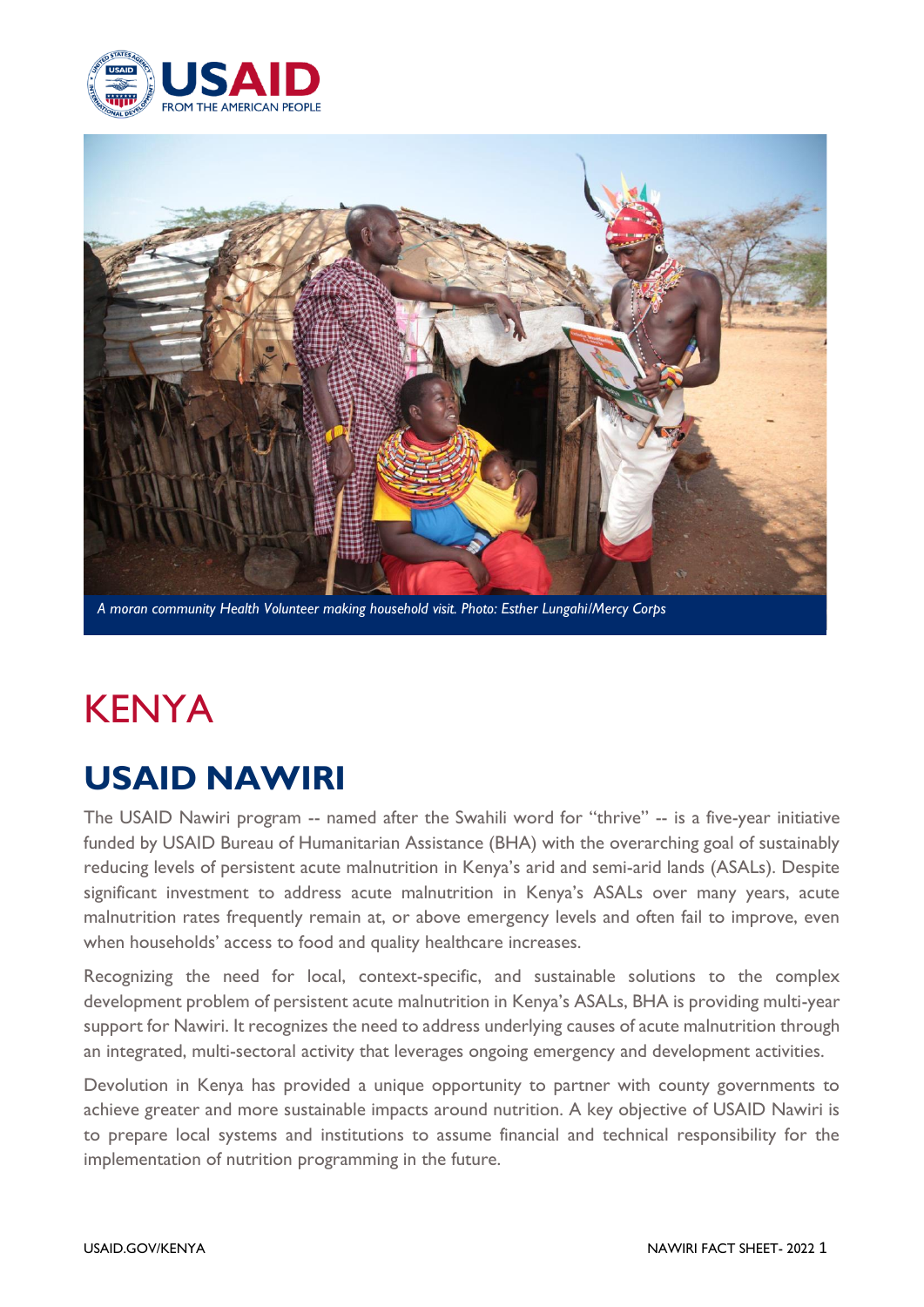



*A moran community Health Volunteer making household visit. Photo: Esther Lungahi/Mercy Corps*

# KENYA

# **USAID NAWIRI**

The USAID Nawiri program -- named after the Swahili word for "thrive" -- is a five-year initiative funded by USAID Bureau of Humanitarian Assistance (BHA) with the overarching goal of sustainably reducing levels of persistent acute malnutrition in Kenya's arid and semi-arid lands (ASALs). Despite significant investment to address acute malnutrition in Kenya's ASALs over many years, acute malnutrition rates frequently remain at, or above emergency levels and often fail to improve, even when households' access to food and quality healthcare increases.

Recognizing the need for local, context-specific, and sustainable solutions to the complex development problem of persistent acute malnutrition in Kenya's ASALs, BHA is providing multi-year support for Nawiri. It recognizes the need to address underlying causes of acute malnutrition through an integrated, multi-sectoral activity that leverages ongoing emergency and development activities.

Devolution in Kenya has provided a unique opportunity to partner with county governments to achieve greater and more sustainable impacts around nutrition. A key objective of USAID Nawiri is to prepare local systems and institutions to assume financial and technical responsibility for the implementation of nutrition programming in the future.